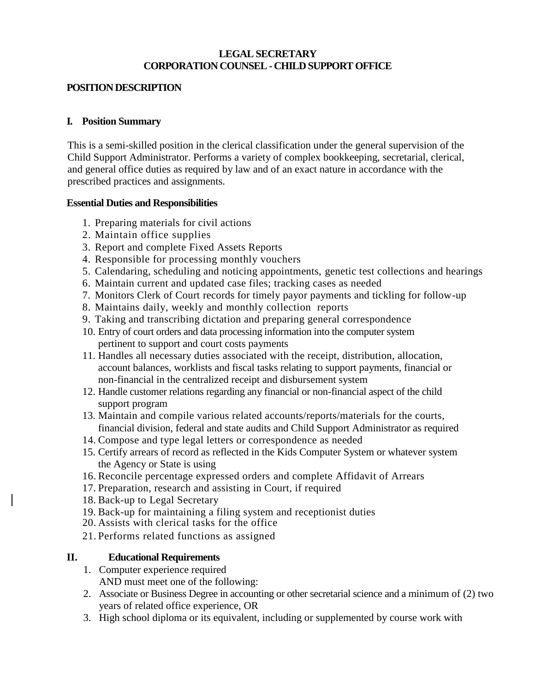### **LEGAL SECRETARY CORPORATION COUNSEL - CHILD SUPPORT OFFICE**

### **POSITION DESCRIPTION**

#### **I. Position Summary**

This is a semi-skilled position in the clerical classification under the general supervision of the Child Support Administrator. Performs a variety of complex bookkeeping, secretarial, clerical, and general office duties as required by law and of an exact nature in accordance with the prescribed practices and assignments.

### **Essential Duties and Responsibilities**

- 1. Preparing materials for civil actions
- 2. Maintain office supplies
- 3. Report and complete Fixed Assets Reports
- 4. Responsible for processing monthly vouchers
- 5. Calendaring, scheduling and noticing appointments, genetic test collections and hearings
- 6. Maintain current and updated case files; tracking cases as needed
- 7. Monitors Clerk of Court records for timely payor payments and tickling for follow-up
- 8. Maintains daily, weekly and monthly collection reports
- 9. Taking and transcribing dictation and preparing general correspondence
- 10. Entry of court orders and data processing information into the computer system pertinent to support and court costs payments
- 11. Handles all necessary duties associated with the receipt, distribution, allocation, account balances, worklists and fiscal tasks relating to support payments, financial or non-financial in the centralized receipt and disbursement system
- 12. Handle customer relations regarding any financial or non-financial aspect of the child support program
- 13. Maintain and compile various related accounts/reports/materials for the courts, financial division, federal and state audits and Child Support Administrator as required
- 14. Compose and type legal letters or correspondence as needed
- 15. Certify arrears of record as reflected in the Kids Computer System or whatever system the Agency or State is using
- 16. Reconcile percentage expressed orders and complete Affidavit of Arrears
- 17. Preparation, research and assisting in Court, if required
- 18. Back-up to Legal Secretary
- 19. Back-up for maintaining a filing system and receptionist duties
- 20. Assists with clerical tasks for the office
- 21. Performs related functions as assigned

# **II. Educational Requirements**

- 1. Computer experience required AND must meet one of the following:
- 2. Associate or Business Degree in accounting or other secretarial science and a minimum of (2) two years of related office experience, OR
- 3. High school diploma or its equivalent, including or supplemented by course work with